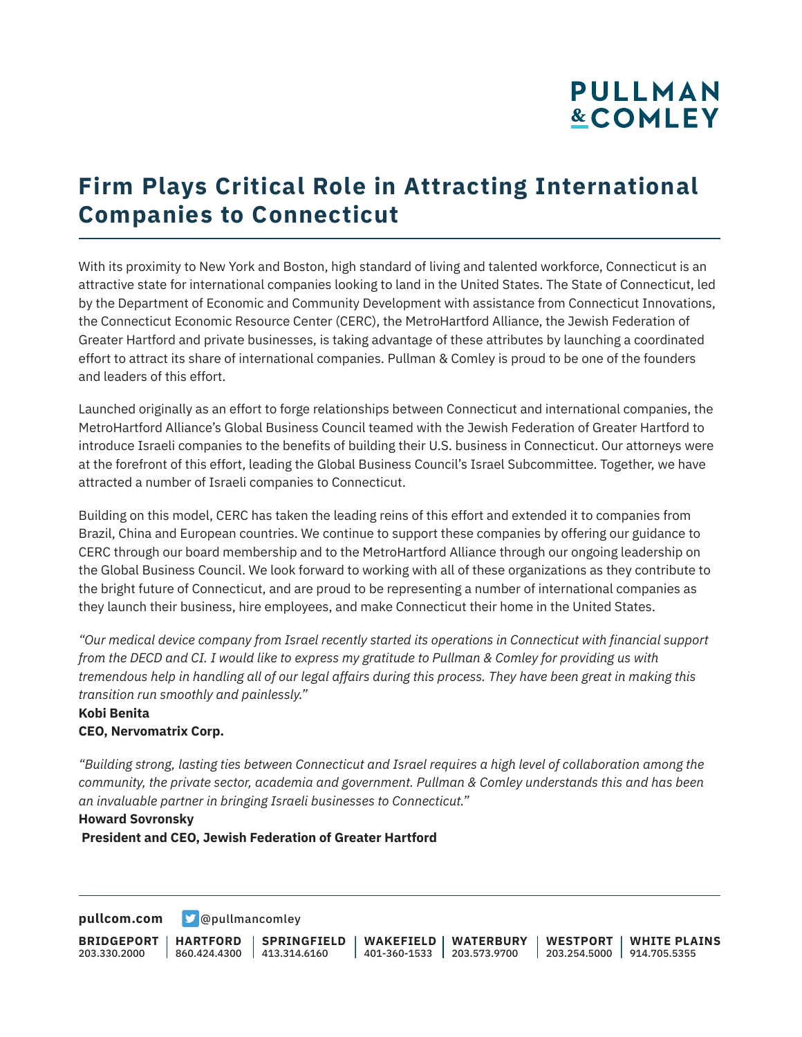# **PULLMAN &COMLEY**

## **Firm Plays Critical Role in Attracting International Companies to Connecticut**

With its proximity to New York and Boston, high standard of living and talented workforce, Connecticut is an attractive state for international companies looking to land in the United States. The State of Connecticut, led by the Department of Economic and Community Development with assistance from Connecticut Innovations, the Connecticut Economic Resource Center (CERC), the MetroHartford Alliance, the Jewish Federation of Greater Hartford and private businesses, is taking advantage of these attributes by launching a coordinated effort to attract its share of international companies. Pullman & Comley is proud to be one of the founders and leaders of this effort.

Launched originally as an effort to forge relationships between Connecticut and international companies, the MetroHartford Alliance's Global Business Council teamed with the Jewish Federation of Greater Hartford to introduce Israeli companies to the benefits of building their U.S. business in Connecticut. Our attorneys were at the forefront of this effort, leading the Global Business Council's Israel Subcommittee. Together, we have attracted a number of Israeli companies to Connecticut.

Building on this model, CERC has taken the leading reins of this effort and extended it to companies from Brazil, China and European countries. We continue to support these companies by offering our guidance to CERC through our board membership and to the MetroHartford Alliance through our ongoing leadership on the Global Business Council. We look forward to working with all of these organizations as they contribute to the bright future of Connecticut, and are proud to be representing a number of international companies as they launch their business, hire employees, and make Connecticut their home in the United States.

*"Our medical device company from Israel recently started its operations in Connecticut with financial support from the DECD and CI. I would like to express my gratitude to Pullman & Comley for providing us with tremendous help in handling all of our legal affairs during this process. They have been great in making this transition run smoothly and painlessly."*

#### **Kobi Benita CEO, Nervomatrix Corp.**

*"Building strong, lasting ties between Connecticut and Israel requires a high level of collaboration among the community, the private sector, academia and government. Pullman & Comley understands this and has been an invaluable partner in bringing Israeli businesses to Connecticut."*

#### **Howard Sovronsky**

 **President and CEO, Jewish Federation of Greater Hartford**

**[pullcom.com](https://www.pullcom.com) g** [@pullmancomley](https://twitter.com/PullmanComley)

**BRIDGEPORT** 203.330.2000 **HARTFORD** 860.424.4300 413.314.6160 **SPRINGFIELD WAKEFIELD WATERBURY** 401-360-1533 203.573.9700 **WESTPORT WHITE PLAINS** 203.254.5000 914.705.5355